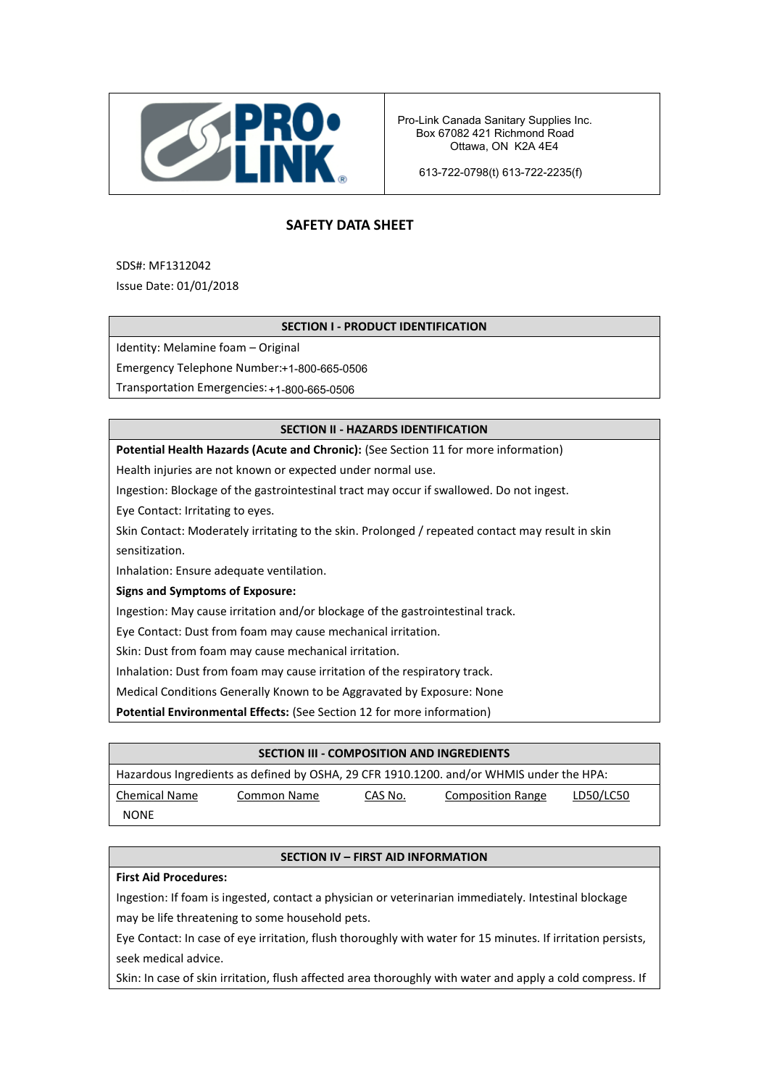

Pro-Link Canada Sanitary Supplies Inc. Ottawa, ON K2A 4E4 Box 67082 421 Richmond Road Phone: 204-949-4200

TEL: +86 21 6048 4852 613-722-0798(t) 613-722-2235(f)

# **SAFETY DATA SHEET**

SDS#: MF1312042

Issue Date: 01/01/2018

# **SECTION I - PRODUCT IDENTIFICATION**

Identity: Melamine foam – Original

Emergency Telephone Number:+1-800-665-0506

Transportation Emergencies: +1-800-665-0506

# **SECTION II - HAZARDS IDENTIFICATION**

**Potential Health Hazards (Acute and Chronic):** (See Section 11 for more information)

Health injuries are not known or expected under normal use.

Ingestion: Blockage of the gastrointestinal tract may occur if swallowed. Do not ingest.

Eye Contact: Irritating to eyes.

Skin Contact: Moderately irritating to the skin. Prolonged / repeated contact may result in skin sensitization.

Inhalation: Ensure adequate ventilation.

**Signs and Symptoms of Exposure:**

Ingestion: May cause irritation and/or blockage of the gastrointestinal track.

Eye Contact: Dust from foam may cause mechanical irritation.

Skin: Dust from foam may cause mechanical irritation.

Inhalation: Dust from foam may cause irritation of the respiratory track.

Medical Conditions Generally Known to be Aggravated by Exposure: None

**Potential Environmental Effects:** (See Section 12 for more information)

| SECTION III - COMPOSITION AND INGREDIENTS                                               |             |         |                          |           |  |  |
|-----------------------------------------------------------------------------------------|-------------|---------|--------------------------|-----------|--|--|
| Hazardous Ingredients as defined by OSHA, 29 CFR 1910.1200. and/or WHMIS under the HPA: |             |         |                          |           |  |  |
| <b>Chemical Name</b>                                                                    | Common Name | CAS No. | <b>Composition Range</b> | LD50/LC50 |  |  |
| <b>NONE</b>                                                                             |             |         |                          |           |  |  |

# **SECTION IV – FIRST AID INFORMATION**

#### **First Aid Procedures:**

Ingestion: If foam is ingested, contact a physician or veterinarian immediately. Intestinal blockage may be life threatening to some household pets.

Eye Contact: In case of eye irritation, flush thoroughly with water for 15 minutes. If irritation persists, seek medical advice.

Skin: In case of skin irritation, flush affected area thoroughly with water and apply a cold compress. If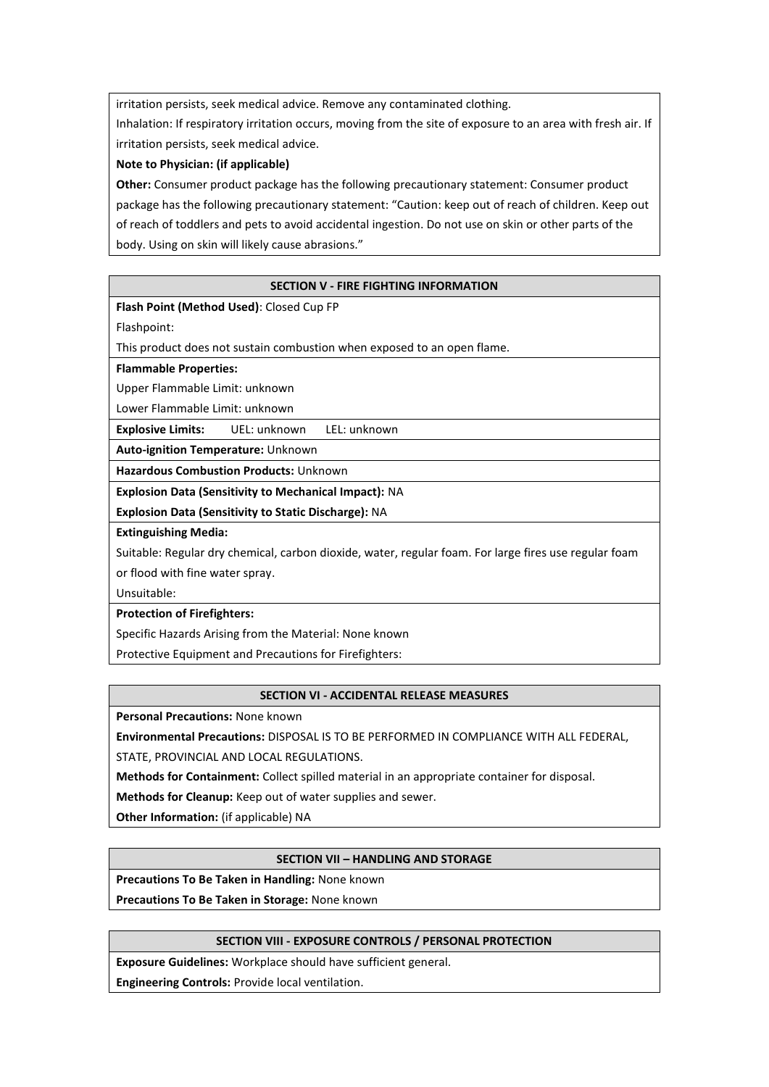irritation persists, seek medical advice. Remove any contaminated clothing.

Inhalation: If respiratory irritation occurs, moving from the site of exposure to an area with fresh air. If irritation persists, seek medical advice.

# **Note to Physician: (if applicable)**

**Other:** Consumer product package has the following precautionary statement: Consumer product package has the following precautionary statement: "Caution: keep out of reach of children. Keep out of reach of toddlers and pets to avoid accidental ingestion. Do not use on skin or other parts of the body. Using on skin will likely cause abrasions."

# **SECTION V - FIRE FIGHTING INFORMATION**

# **Flash Point (Method Used)**: Closed Cup FP

Flashpoint:

This product does not sustain combustion when exposed to an open flame.

#### **Flammable Properties:**

Upper Flammable Limit: unknown

Lower Flammable Limit: unknown

**Explosive Limits:** UEL: unknown LEL: unknown

**Auto-ignition Temperature:** Unknown

**Hazardous Combustion Products:** Unknown

**Explosion Data (Sensitivity to Mechanical Impact):** NA

**Explosion Data (Sensitivity to Static Discharge):** NA

#### **Extinguishing Media:**

Suitable: Regular dry chemical, carbon dioxide, water, regular foam. For large fires use regular foam or flood with fine water spray.

Unsuitable:

#### **Protection of Firefighters:**

Specific Hazards Arising from the Material: None known

Protective Equipment and Precautions for Firefighters:

#### **SECTION VI - ACCIDENTAL RELEASE MEASURES**

**Personal Precautions:** None known

**Environmental Precautions:** DISPOSAL IS TO BE PERFORMED IN COMPLIANCE WITH ALL FEDERAL,

STATE, PROVINCIAL AND LOCAL REGULATIONS.

**Methods for Containment:** Collect spilled material in an appropriate container for disposal.

**Methods for Cleanup:** Keep out of water supplies and sewer.

**Other Information:** (if applicable) NA

#### **SECTION VII – HANDLING AND STORAGE**

**Precautions To Be Taken in Handling:** None known

**Precautions To Be Taken in Storage:** None known

# **SECTION VIII - EXPOSURE CONTROLS / PERSONAL PROTECTION**

**Exposure Guidelines:** Workplace should have sufficient general.

**Engineering Controls:** Provide local ventilation.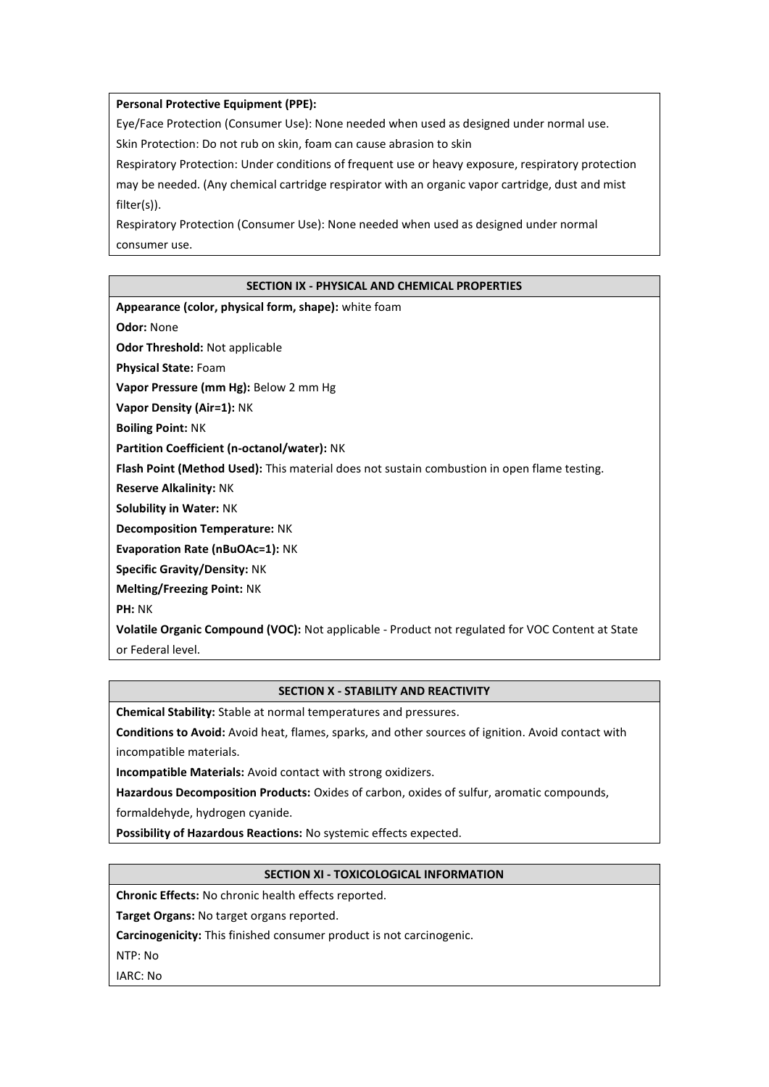#### **Personal Protective Equipment (PPE):**

Eye/Face Protection (Consumer Use): None needed when used as designed under normal use.

Skin Protection: Do not rub on skin, foam can cause abrasion to skin

Respiratory Protection: Under conditions of frequent use or heavy exposure, respiratory protection may be needed. (Any chemical cartridge respirator with an organic vapor cartridge, dust and mist filter(s)).

Respiratory Protection (Consumer Use): None needed when used as designed under normal consumer use.

# **SECTION IX - PHYSICAL AND CHEMICAL PROPERTIES**

| Appearance (color, physical form, shape): white foam                                               |
|----------------------------------------------------------------------------------------------------|
| <b>Odor: None</b>                                                                                  |
| <b>Odor Threshold: Not applicable</b>                                                              |
| <b>Physical State: Foam</b>                                                                        |
| Vapor Pressure (mm Hg): Below 2 mm Hg                                                              |
| Vapor Density (Air=1): NK                                                                          |
| <b>Boiling Point: NK</b>                                                                           |
| Partition Coefficient (n-octanol/water): NK                                                        |
| <b>Flash Point (Method Used):</b> This material does not sustain combustion in open flame testing. |
| <b>Reserve Alkalinity: NK</b>                                                                      |
| <b>Solubility in Water: NK</b>                                                                     |
| <b>Decomposition Temperature: NK</b>                                                               |
| <b>Evaporation Rate (nBuOAc=1): NK</b>                                                             |
| <b>Specific Gravity/Density: NK</b>                                                                |
| <b>Melting/Freezing Point: NK</b>                                                                  |
| <b>PH: NK</b>                                                                                      |
| Volatile Organic Compound (VOC): Not applicable - Product not regulated for VOC Content at State   |
| or Federal level.                                                                                  |

# **SECTION X - STABILITY AND REACTIVITY**

**Chemical Stability:** Stable at normal temperatures and pressures.

**Conditions to Avoid:** Avoid heat, flames, sparks, and other sources of ignition. Avoid contact with incompatible materials.

**Incompatible Materials:** Avoid contact with strong oxidizers.

**Hazardous Decomposition Products:** Oxides of carbon, oxides of sulfur, aromatic compounds,

formaldehyde, hydrogen cyanide.

**Possibility of Hazardous Reactions:** No systemic effects expected.

# **SECTION XI - TOXICOLOGICAL INFORMATION**

**Chronic Effects:** No chronic health effects reported.

**Target Organs:** No target organs reported.

**Carcinogenicity:** This finished consumer product is not carcinogenic.

NTP: No

IARC: No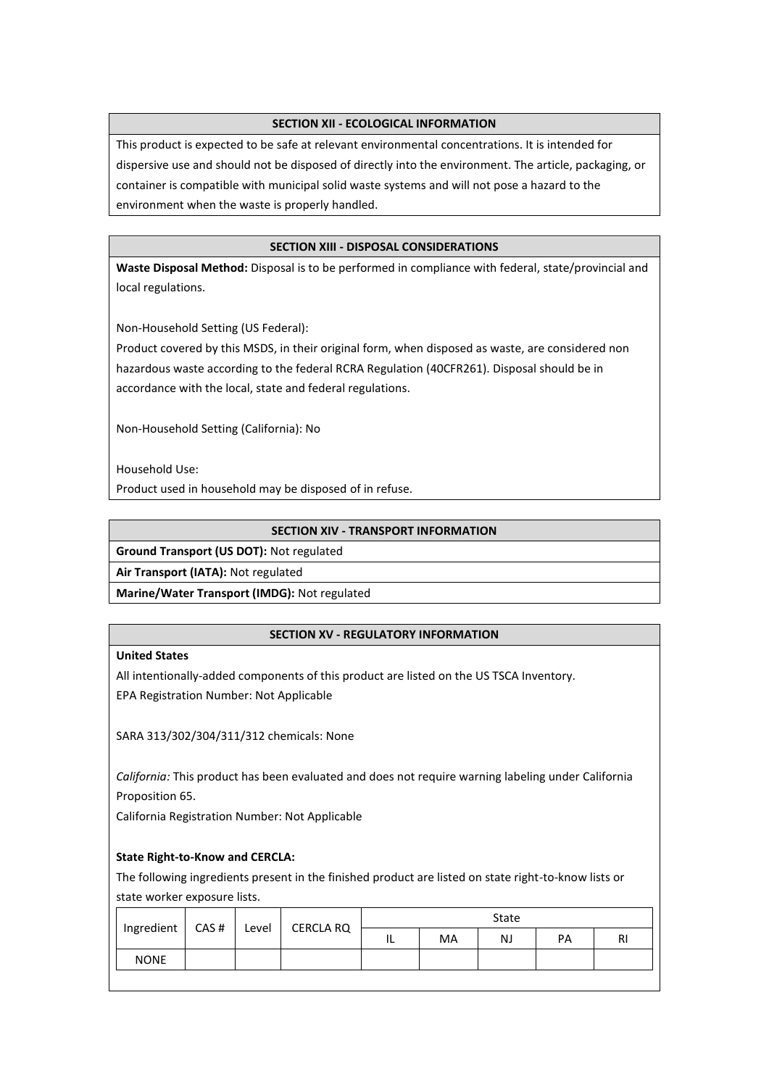# **SECTION XII - ECOLOGICAL INFORMATION**

This product is expected to be safe at relevant environmental concentrations. It is intended for dispersive use and should not be disposed of directly into the environment. The article, packaging, or container is compatible with municipal solid waste systems and will not pose a hazard to the environment when the waste is properly handled.

# **SECTION XIII - DISPOSAL CONSIDERATIONS**

**Waste Disposal Method:** Disposal is to be performed in compliance with federal, state/provincial and local regulations.

Non-Household Setting (US Federal):

Product covered by this MSDS, in their original form, when disposed as waste, are considered non hazardous waste according to the federal RCRA Regulation (40CFR261). Disposal should be in accordance with the local, state and federal regulations.

Non-Household Setting (California): No

Household Use:

Product used in household may be disposed of in refuse.

#### **SECTION XIV - TRANSPORT INFORMATION**

**Ground Transport (US DOT):** Not regulated

**Air Transport (IATA):** Not regulated

**Marine/Water Transport (IMDG):** Not regulated

#### **SECTION XV - REGULATORY INFORMATION**

# **United States**

All intentionally-added components of this product are listed on the US TSCA Inventory. EPA Registration Number: Not Applicable

SARA 313/302/304/311/312 chemicals: None

*California:* This product has been evaluated and does not require warning labeling under California Proposition 65.

California Registration Number: Not Applicable

#### **State Right-to-Know and CERCLA:**

The following ingredients present in the finished product are listed on state right-to-know lists or state worker exposure lists.

|             | Ingredient   CAS # | CERCLA RQ<br>Level |    | State |    |    |    |  |
|-------------|--------------------|--------------------|----|-------|----|----|----|--|
|             |                    |                    | IL | MA    | NJ | PA | RI |  |
| <b>NONE</b> |                    |                    |    |       |    |    |    |  |
|             |                    |                    |    |       |    |    |    |  |